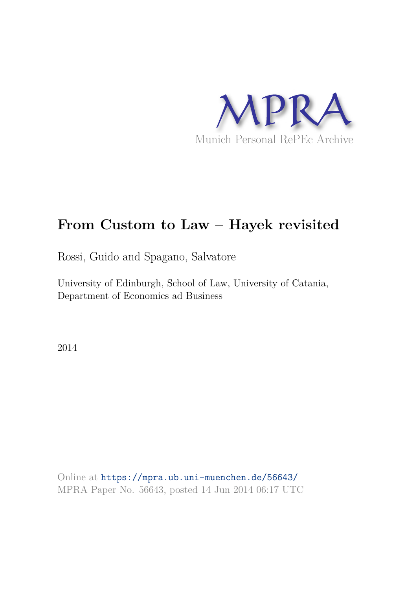

# **From Custom to Law – Hayek revisited**

Rossi, Guido and Spagano, Salvatore

University of Edinburgh, School of Law, University of Catania, Department of Economics ad Business

2014

Online at https://mpra.ub.uni-muenchen.de/56643/ MPRA Paper No. 56643, posted 14 Jun 2014 06:17 UTC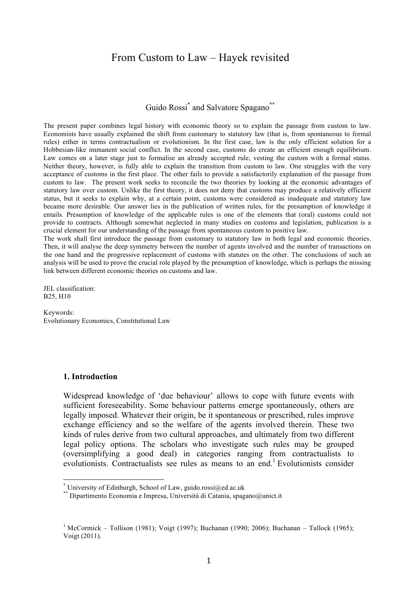## From Custom to Law – Hayek revisited

Guido Rossi<sup>\*</sup> and Salvatore Spagano<sup>\*\*</sup>

The present paper combines legal history with economic theory so to explain the passage from custom to law. Economists have usually explained the shift from customary to statutory law (that is, from spontaneous to formal rules) either in terms contractualism or evolutionism. In the first case, law is the only efficient solution for a Hobbesian-like immanent social conflict. In the second case, customs do create an efficient enough equilibrium. Law comes on a later stage just to formalise an already accepted rule, vesting the custom with a formal status. Neither theory, however, is fully able to explain the transition from custom to law. One struggles with the very acceptance of customs in the first place. The other fails to provide a satisfactorily explanation of the passage from custom to law. The present work seeks to reconcile the two theories by looking at the economic advantages of statutory law over custom. Unlike the first theory, it does not deny that customs may produce a relatively efficient status, but it seeks to explain why, at a certain point, customs were considered as inadequate and statutory law became more desirable. Our answer lies in the publication of written rules, for the presumption of knowledge it entails. Presumption of knowledge of the applicable rules is one of the elements that (oral) customs could not provide to contracts. Although somewhat neglected in many studies on customs and legislation, publication is a crucial element for our understanding of the passage from spontaneous custom to positive law.

The work shall first introduce the passage from customary to statutory law in both legal and economic theories. Then, it will analyse the deep symmetry between the number of agents involved and the number of transactions on the one hand and the progressive replacement of customs with statutes on the other. The conclusions of such an analysis will be used to prove the crucial role played by the presumption of knowledge, which is perhaps the missing link between different economic theories on customs and law.

JEL classification: B25, H10

Keywords: Evolutionary Economics, Constitutional Law

#### **1. Introduction**

Widespread knowledge of 'due behaviour' allows to cope with future events with sufficient foreseeability. Some behaviour patterns emerge spontaneously, others are legally imposed. Whatever their origin, be it spontaneous or prescribed, rules improve exchange efficiency and so the welfare of the agents involved therein. These two kinds of rules derive from two cultural approaches, and ultimately from two different legal policy options. The scholars who investigate such rules may be grouped (oversimplifying a good deal) in categories ranging from contractualists to evolutionists. Contractualists see rules as means to an end.<sup>1</sup> Evolutionists consider

<sup>\*</sup> University of Edinburgh, School of Law, guido.rossi@ed.ac.uk

<sup>\*\*</sup> Dipartimento Economia e Impresa, Università di Catania, spagano@unict.it

<sup>&</sup>lt;sup>1</sup> McCormick – Tollison (1981); Voigt (1997); Buchanan (1990; 2006); Buchanan – Tullock (1965); Voigt (2011).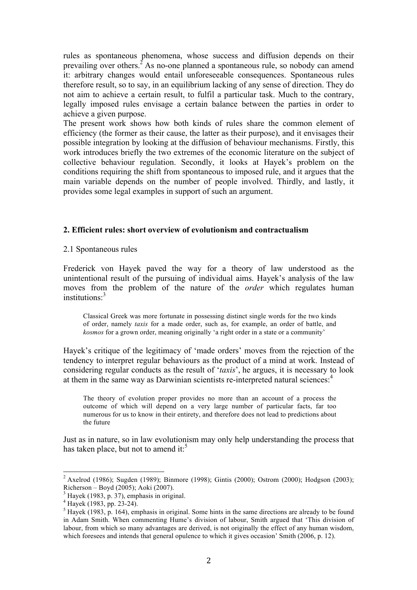rules as spontaneous phenomena, whose success and diffusion depends on their prevailing over others.<sup>2</sup> As no-one planned a spontaneous rule, so nobody can amend it: arbitrary changes would entail unforeseeable consequences. Spontaneous rules therefore result, so to say, in an equilibrium lacking of any sense of direction. They do not aim to achieve a certain result, to fulfil a particular task. Much to the contrary, legally imposed rules envisage a certain balance between the parties in order to achieve a given purpose.

The present work shows how both kinds of rules share the common element of efficiency (the former as their cause, the latter as their purpose), and it envisages their possible integration by looking at the diffusion of behaviour mechanisms. Firstly, this work introduces briefly the two extremes of the economic literature on the subject of collective behaviour regulation. Secondly, it looks at Hayek's problem on the conditions requiring the shift from spontaneous to imposed rule, and it argues that the main variable depends on the number of people involved. Thirdly, and lastly, it provides some legal examples in support of such an argument.

#### **2. Efficient rules: short overview of evolutionism and contractualism**

2.1 Spontaneous rules

Frederick von Hayek paved the way for a theory of law understood as the unintentional result of the pursuing of individual aims. Hayek's analysis of the law moves from the problem of the nature of the *order* which regulates human institutions<sup>3</sup>

Classical Greek was more fortunate in possessing distinct single words for the two kinds of order, namely *taxis* for a made order, such as, for example, an order of battle, and *kosmos* for a grown order, meaning originally 'a right order in a state or a community'

Hayek's critique of the legitimacy of 'made orders' moves from the rejection of the tendency to interpret regular behaviours as the product of a mind at work. Instead of considering regular conducts as the result of '*taxis*', he argues, it is necessary to look at them in the same way as Darwinian scientists re-interpreted natural sciences:<sup>4</sup>

The theory of evolution proper provides no more than an account of a process the outcome of which will depend on a very large number of particular facts, far too numerous for us to know in their entirety, and therefore does not lead to predictions about the future

Just as in nature, so in law evolutionism may only help understanding the process that has taken place, but not to amend it.<sup>5</sup>

<sup>&</sup>lt;sup>2</sup> Axelrod (1986); Sugden (1989); Binmore (1998); Gintis (2000); Ostrom (2000); Hodgson (2003); Richerson – Boyd (2005); Aoki (2007).

 $3$  Hayek (1983, p. 37), emphasis in original.

 $4$  Hayek (1983, pp. 23-24).

 $<sup>5</sup>$  Hayek (1983, p. 164), emphasis in original. Some hints in the same directions are already to be found</sup> in Adam Smith. When commenting Hume's division of labour, Smith argued that 'This division of labour, from which so many advantages are derived, is not originally the effect of any human wisdom, which foresees and intends that general opulence to which it gives occasion' Smith (2006, p. 12).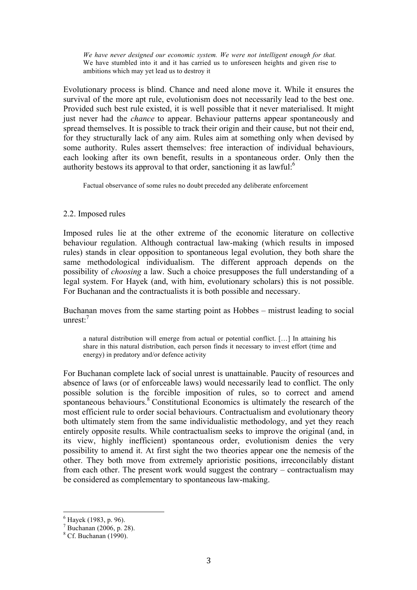*We have never designed our economic system. We were not intelligent enough for that.*  We have stumbled into it and it has carried us to unforeseen heights and given rise to ambitions which may yet lead us to destroy it

Evolutionary process is blind. Chance and need alone move it. While it ensures the survival of the more apt rule, evolutionism does not necessarily lead to the best one. Provided such best rule existed, it is well possible that it never materialised. It might just never had the *chance* to appear. Behaviour patterns appear spontaneously and spread themselves. It is possible to track their origin and their cause, but not their end, for they structurally lack of any aim. Rules aim at something only when devised by some authority. Rules assert themselves: free interaction of individual behaviours, each looking after its own benefit, results in a spontaneous order. Only then the authority bestows its approval to that order, sanctioning it as lawful: $6$ 

Factual observance of some rules no doubt preceded any deliberate enforcement

## 2.2. Imposed rules

Imposed rules lie at the other extreme of the economic literature on collective behaviour regulation. Although contractual law-making (which results in imposed rules) stands in clear opposition to spontaneous legal evolution, they both share the same methodological individualism. The different approach depends on the possibility of *choosing* a law. Such a choice presupposes the full understanding of a legal system. For Hayek (and, with him, evolutionary scholars) this is not possible. For Buchanan and the contractualists it is both possible and necessary.

Buchanan moves from the same starting point as Hobbes – mistrust leading to social unrest:<sup>7</sup>

a natural distribution will emerge from actual or potential conflict. […] In attaining his share in this natural distribution, each person finds it necessary to invest effort (time and energy) in predatory and/or defence activity

For Buchanan complete lack of social unrest is unattainable. Paucity of resources and absence of laws (or of enforceable laws) would necessarily lead to conflict. The only possible solution is the forcible imposition of rules, so to correct and amend spontaneous behaviours.<sup>8</sup> Constitutional Economics is ultimately the research of the most efficient rule to order social behaviours. Contractualism and evolutionary theory both ultimately stem from the same individualistic methodology, and yet they reach entirely opposite results. While contractualism seeks to improve the original (and, in its view, highly inefficient) spontaneous order, evolutionism denies the very possibility to amend it. At first sight the two theories appear one the nemesis of the other. They both move from extremely aprioristic positions, irreconcilably distant from each other. The present work would suggest the contrary – contractualism may be considered as complementary to spontaneous law-making.

<sup>6</sup> Hayek (1983, p. 96).

 $^7$  Buchanan (2006, p. 28).

 $8$  Cf. Buchanan (1990).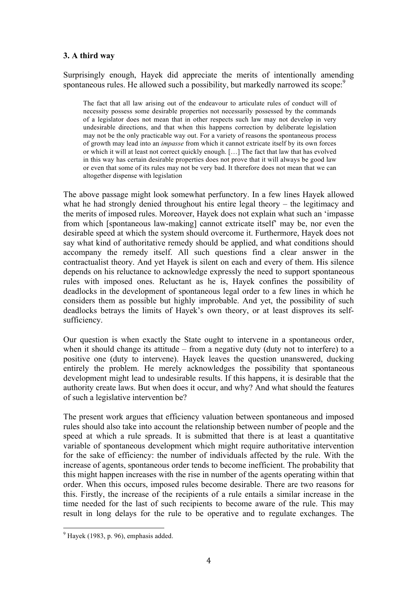## **3. A third way**

Surprisingly enough, Hayek did appreciate the merits of intentionally amending spontaneous rules. He allowed such a possibility, but markedly narrowed its scope:<sup>9</sup>

The fact that all law arising out of the endeavour to articulate rules of conduct will of necessity possess some desirable properties not necessarily possessed by the commands of a legislator does not mean that in other respects such law may not develop in very undesirable directions, and that when this happens correction by deliberate legislation may not be the only practicable way out. For a variety of reasons the spontaneous process of growth may lead into an *impasse* from which it cannot extricate itself by its own forces or which it will at least not correct quickly enough. […] The fact that law that has evolved in this way has certain desirable properties does not prove that it will always be good law or even that some of its rules may not be very bad. It therefore does not mean that we can altogether dispense with legislation

The above passage might look somewhat perfunctory. In a few lines Hayek allowed what he had strongly denied throughout his entire legal theory – the legitimacy and the merits of imposed rules. Moreover, Hayek does not explain what such an 'impasse from which [spontaneous law-making] cannot extricate itself' may be, nor even the desirable speed at which the system should overcome it. Furthermore, Hayek does not say what kind of authoritative remedy should be applied, and what conditions should accompany the remedy itself. All such questions find a clear answer in the contractualist theory. And yet Hayek is silent on each and every of them. His silence depends on his reluctance to acknowledge expressly the need to support spontaneous rules with imposed ones. Reluctant as he is, Hayek confines the possibility of deadlocks in the development of spontaneous legal order to a few lines in which he considers them as possible but highly improbable. And yet, the possibility of such deadlocks betrays the limits of Hayek's own theory, or at least disproves its selfsufficiency.

Our question is when exactly the State ought to intervene in a spontaneous order, when it should change its attitude – from a negative duty (duty not to interfere) to a positive one (duty to intervene). Hayek leaves the question unanswered, ducking entirely the problem. He merely acknowledges the possibility that spontaneous development might lead to undesirable results. If this happens, it is desirable that the authority create laws. But when does it occur, and why? And what should the features of such a legislative intervention be?

The present work argues that efficiency valuation between spontaneous and imposed rules should also take into account the relationship between number of people and the speed at which a rule spreads. It is submitted that there is at least a quantitative variable of spontaneous development which might require authoritative intervention for the sake of efficiency: the number of individuals affected by the rule. With the increase of agents, spontaneous order tends to become inefficient. The probability that this might happen increases with the rise in number of the agents operating within that order. When this occurs, imposed rules become desirable. There are two reasons for this. Firstly, the increase of the recipients of a rule entails a similar increase in the time needed for the last of such recipients to become aware of the rule. This may result in long delays for the rule to be operative and to regulate exchanges. The

 $<sup>9</sup>$  Havek (1983, p. 96), emphasis added.</sup>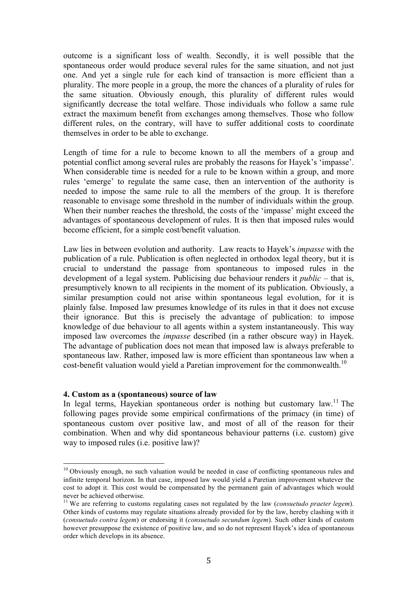outcome is a significant loss of wealth. Secondly, it is well possible that the spontaneous order would produce several rules for the same situation, and not just one. And yet a single rule for each kind of transaction is more efficient than a plurality. The more people in a group, the more the chances of a plurality of rules for the same situation. Obviously enough, this plurality of different rules would significantly decrease the total welfare. Those individuals who follow a same rule extract the maximum benefit from exchanges among themselves. Those who follow different rules, on the contrary, will have to suffer additional costs to coordinate themselves in order to be able to exchange.

Length of time for a rule to become known to all the members of a group and potential conflict among several rules are probably the reasons for Hayek's 'impasse'. When considerable time is needed for a rule to be known within a group, and more rules 'emerge' to regulate the same case, then an intervention of the authority is needed to impose the same rule to all the members of the group. It is therefore reasonable to envisage some threshold in the number of individuals within the group. When their number reaches the threshold, the costs of the 'impasse' might exceed the advantages of spontaneous development of rules. It is then that imposed rules would become efficient, for a simple cost/benefit valuation.

Law lies in between evolution and authority. Law reacts to Hayek's *impasse* with the publication of a rule. Publication is often neglected in orthodox legal theory, but it is crucial to understand the passage from spontaneous to imposed rules in the development of a legal system. Publicising due behaviour renders it *public* – that is, presumptively known to all recipients in the moment of its publication. Obviously, a similar presumption could not arise within spontaneous legal evolution, for it is plainly false. Imposed law presumes knowledge of its rules in that it does not excuse their ignorance. But this is precisely the advantage of publication: to impose knowledge of due behaviour to all agents within a system instantaneously. This way imposed law overcomes the *impasse* described (in a rather obscure way) in Hayek. The advantage of publication does not mean that imposed law is always preferable to spontaneous law. Rather, imposed law is more efficient than spontaneous law when a cost-benefit valuation would yield a Paretian improvement for the commonwealth.<sup>10</sup>

#### **4. Custom as a (spontaneous) source of law**

In legal terms, Hayekian spontaneous order is nothing but customary law.<sup>11</sup> The following pages provide some empirical confirmations of the primacy (in time) of spontaneous custom over positive law, and most of all of the reason for their combination. When and why did spontaneous behaviour patterns (i.e. custom) give way to imposed rules (i.e. positive law)?

 $10$  Obviously enough, no such valuation would be needed in case of conflicting spontaneous rules and infinite temporal horizon. In that case, imposed law would yield a Paretian improvement whatever the cost to adopt it. This cost would be compensated by the permanent gain of advantages which would never be achieved otherwise.

<sup>&</sup>lt;sup>11</sup> We are referring to customs regulating cases not regulated by the law (*consuetudo praeter legem*). Other kinds of customs may regulate situations already provided for by the law, hereby clashing with it (*consuetudo contra legem*) or endorsing it (*consuetudo secundum legem*). Such other kinds of custom however presuppose the existence of positive law, and so do not represent Hayek's idea of spontaneous order which develops in its absence.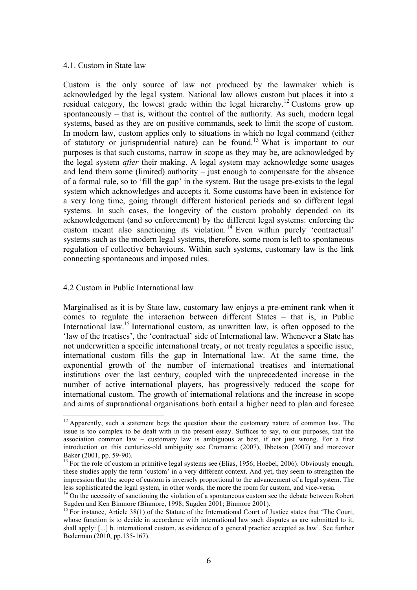#### 4.1. Custom in State law

Custom is the only source of law not produced by the lawmaker which is acknowledged by the legal system. National law allows custom but places it into a residual category, the lowest grade within the legal hierarchy.<sup>12</sup> Customs grow up spontaneously – that is, without the control of the authority. As such, modern legal systems, based as they are on positive commands, seek to limit the scope of custom. In modern law, custom applies only to situations in which no legal command (either of statutory or jurisprudential nature) can be found.<sup>13</sup> What is important to our purposes is that such customs, narrow in scope as they may be, are acknowledged by the legal system *after* their making. A legal system may acknowledge some usages and lend them some (limited) authority – just enough to compensate for the absence of a formal rule, so to 'fill the gap' in the system. But the usage pre-exists to the legal system which acknowledges and accepts it. Some customs have been in existence for a very long time, going through different historical periods and so different legal systems. In such cases, the longevity of the custom probably depended on its acknowledgement (and so enforcement) by the different legal systems: enforcing the custom meant also sanctioning its violation. <sup>14</sup> Even within purely 'contractual' systems such as the modern legal systems, therefore, some room is left to spontaneous regulation of collective behaviours. Within such systems, customary law is the link connecting spontaneous and imposed rules.

### 4.2 Custom in Public International law

Marginalised as it is by State law, customary law enjoys a pre-eminent rank when it comes to regulate the interaction between different States – that is, in Public International law.<sup>15</sup> International custom, as unwritten law, is often opposed to the 'law of the treatises', the 'contractual' side of International law. Whenever a State has not underwritten a specific international treaty, or not treaty regulates a specific issue, international custom fills the gap in International law. At the same time, the exponential growth of the number of international treatises and international institutions over the last century, coupled with the unprecedented increase in the number of active international players, has progressively reduced the scope for international custom. The growth of international relations and the increase in scope and aims of supranational organisations both entail a higher need to plan and foresee

 $12$  Apparently, such a statement begs the question about the customary nature of common law. The issue is too complex to be dealt with in the present essay. Suffices to say, to our purposes, that the association common law – customary law is ambiguous at best, if not just wrong. For a first introduction on this centuries-old ambiguity see Cromartie (2007), Ibbetson (2007) and moreover Baker (2001, pp. 59-90).

<sup>&</sup>lt;sup>13</sup> For the role of custom in primitive legal systems see (Elias, 1956; Hoebel, 2006). Obviously enough, these studies apply the term 'custom' in a very different context. And yet, they seem to strengthen the impression that the scope of custom is inversely proportional to the advancement of a legal system. The less sophisticated the legal system, in other words, the more the room for custom, and vice-versa.

<sup>&</sup>lt;sup>14</sup> On the necessity of sanctioning the violation of a spontaneous custom see the debate between Robert Sugden and Ken Binmore (Binmore, 1998; Sugden 2001; Binmore 2001).

<sup>&</sup>lt;sup>15</sup> For instance, Article 38(1) of the Statute of the International Court of Justice states that 'The Court, whose function is to decide in accordance with international law such disputes as are submitted to it, shall apply: [...] b. international custom, as evidence of a general practice accepted as law'. See further Bederman (2010, pp.135-167).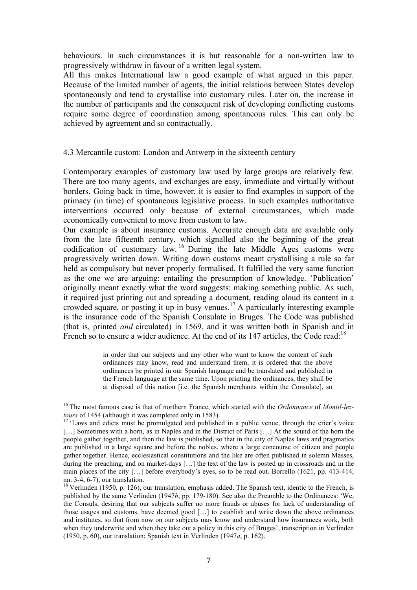behaviours. In such circumstances it is but reasonable for a non-written law to progressively withdraw in favour of a written legal system.

All this makes International law a good example of what argued in this paper. Because of the limited number of agents, the initial relations between States develop spontaneously and tend to crystallise into customary rules. Later on, the increase in the number of participants and the consequent risk of developing conflicting customs require some degree of coordination among spontaneous rules. This can only be achieved by agreement and so contractually.

#### 4.3 Mercantile custom: London and Antwerp in the sixteenth century

Contemporary examples of customary law used by large groups are relatively few. There are too many agents, and exchanges are easy, immediate and virtually without borders. Going back in time, however, it is easier to find examples in support of the primacy (in time) of spontaneous legislative process. In such examples authoritative interventions occurred only because of external circumstances, which made economically convenient to move from custom to law.

Our example is about insurance customs. Accurate enough data are available only from the late fifteenth century, which signalled also the beginning of the great codification of customary law. <sup>16</sup> During the late Middle Ages customs were progressively written down. Writing down customs meant crystallising a rule so far held as compulsory but never properly formalised. It fulfilled the very same function as the one we are arguing: entailing the presumption of knowledge. 'Publication' originally meant exactly what the word suggests: making something public. As such, it required just printing out and spreading a document, reading aloud its content in a crowded square, or posting it up in busy venues.<sup>17</sup> A particularly interesting example is the insurance code of the Spanish Consulate in Bruges. The Code was published (that is, printed *and* circulated) in 1569, and it was written both in Spanish and in French so to ensure a wider audience. At the end of its  $147$  articles, the Code read:<sup>18</sup>

> in order that our subjects and any other who want to know the content of such ordinances may know, read and understand them, it is ordered that the above ordinances be printed in our Spanish language and be translated and published in the French language at the same time. Upon printing the ordinances, they shall be at disposal of this nation [i.e. the Spanish merchants within the Consulate], so

<sup>16</sup> The most famous case is that of northern France, which started with the *Ordonnance* of *Montil-leztours* of 1454 (although it was completed only in 1583).

<sup>&</sup>lt;sup>17</sup> 'Laws and edicts must be promulgated and published in a public venue, through the crier's voice [...] Sometimes with a horn, as in Naples and in the District of Paris [...] At the sound of the horn the people gather together, and then the law is published, so that in the city of Naples laws and pragmatics are published in a large square and before the nobles, where a large concourse of citizen and people gather together. Hence, ecclesiastical constitutions and the like are often published in solemn Masses, during the preaching, and on market-days […] the text of the law is posted up in crossroads and in the main places of the city […] before everybody's eyes, so to be read out. Borrello (1621, pp. 413-414, nn. 3-4, 6-7), our translation.

<sup>&</sup>lt;sup>18</sup> Verlinden (1950, p. 126), our translation, emphasis added. The Spanish text, identic to the French, is published by the same Verlinden (1947*b*, pp. 179-180). See also the Preamble to the Ordinances: 'We, the Consuls, desiring that our subjects suffer no more frauds or abuses for lack of understanding of those usages and customs, have deemed good […] to establish and write down the above ordinances and institutes, so that from now on our subjects may know and understand how insurances work, both when they underwrite and when they take out a policy in this city of Bruges', transcription in Verlinden (1950, p. 60), our translation; Spanish text in Verlinden (1947*a*, p. 162).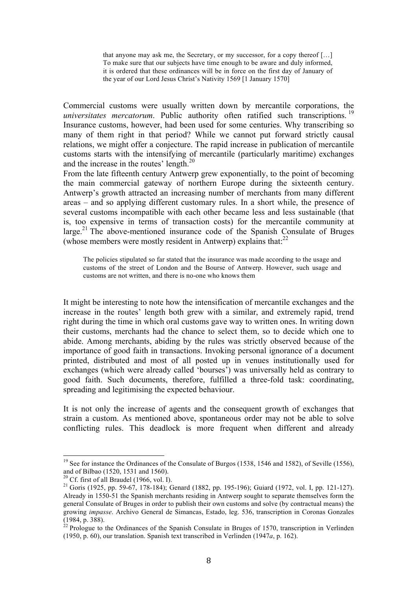that anyone may ask me, the Secretary, or my successor, for a copy thereof […] To make sure that our subjects have time enough to be aware and duly informed, it is ordered that these ordinances will be in force on the first day of January of the year of our Lord Jesus Christ's Nativity 1569 [1 January 1570]

Commercial customs were usually written down by mercantile corporations, the *universitates mercatorum*. Public authority often ratified such transcriptions.<sup>19</sup> Insurance customs, however, had been used for some centuries. Why transcribing so many of them right in that period? While we cannot put forward strictly causal relations, we might offer a conjecture. The rapid increase in publication of mercantile customs starts with the intensifying of mercantile (particularly maritime) exchanges and the increase in the routes' length.<sup>20</sup>

From the late fifteenth century Antwerp grew exponentially, to the point of becoming the main commercial gateway of northern Europe during the sixteenth century. Antwerp's growth attracted an increasing number of merchants from many different areas – and so applying different customary rules. In a short while, the presence of several customs incompatible with each other became less and less sustainable (that is, too expensive in terms of transaction costs) for the mercantile community at large.<sup>21</sup> The above-mentioned insurance code of the Spanish Consulate of Bruges (whose members were mostly resident in Antwerp) explains that: $^{22}$ 

The policies stipulated so far stated that the insurance was made according to the usage and customs of the street of London and the Bourse of Antwerp. However, such usage and customs are not written, and there is no-one who knows them

It might be interesting to note how the intensification of mercantile exchanges and the increase in the routes' length both grew with a similar, and extremely rapid, trend right during the time in which oral customs gave way to written ones. In writing down their customs, merchants had the chance to select them, so to decide which one to abide. Among merchants, abiding by the rules was strictly observed because of the importance of good faith in transactions. Invoking personal ignorance of a document printed, distributed and most of all posted up in venues institutionally used for exchanges (which were already called 'bourses') was universally held as contrary to good faith. Such documents, therefore, fulfilled a three-fold task: coordinating, spreading and legitimising the expected behaviour.

It is not only the increase of agents and the consequent growth of exchanges that strain a custom. As mentioned above, spontaneous order may not be able to solve conflicting rules. This deadlock is more frequent when different and already

<sup>&</sup>lt;sup>19</sup> See for instance the Ordinances of the Consulate of Burgos (1538, 1546 and 1582), of Seville (1556), and of Bilbao (1520, 1531 and 1560).

 $20$  Cf. first of all Braudel (1966, vol. I).

<sup>21</sup> Goris (1925, pp. 59-67, 178-184); Genard (1882, pp. 195-196); Guiard (1972, vol. I, pp. 121-127). Already in 1550-51 the Spanish merchants residing in Antwerp sought to separate themselves form the general Consulate of Bruges in order to publish their own customs and solve (by contractual means) the growing *impasse*. Archivo General de Simancas, Estado, leg. 536, transcription in Coronas Gonzales (1984, p. 388).

 $^{22}$  Prologue to the Ordinances of the Spanish Consulate in Bruges of 1570, transcription in Verlinden (1950, p. 60), our translation. Spanish text transcribed in Verlinden (1947*a*, p. 162).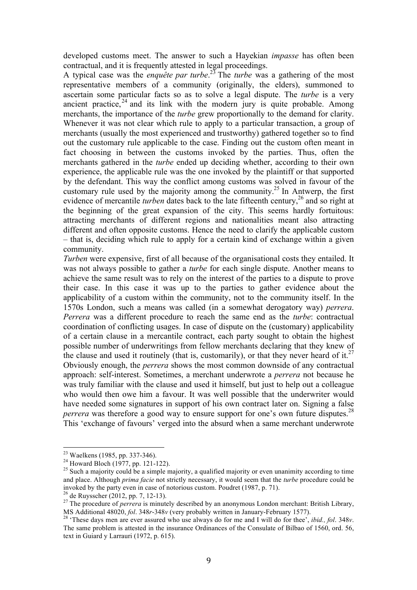developed customs meet. The answer to such a Hayekian *impasse* has often been contractual, and it is frequently attested in legal proceedings.

A typical case was the *enquête par turbe*. <sup>23</sup> The *turbe* was a gathering of the most representative members of a community (originally, the elders), summoned to ascertain some particular facts so as to solve a legal dispute. The *turbe* is a very ancient practice,  $24$  and its link with the modern jury is quite probable. Among merchants, the importance of the *turbe* grew proportionally to the demand for clarity. Whenever it was not clear which rule to apply to a particular transaction, a group of merchants (usually the most experienced and trustworthy) gathered together so to find out the customary rule applicable to the case. Finding out the custom often meant in fact choosing in between the customs invoked by the parties. Thus, often the merchants gathered in the *turbe* ended up deciding whether, according to their own experience, the applicable rule was the one invoked by the plaintiff or that supported by the defendant. This way the conflict among customs was solved in favour of the customary rule used by the majority among the community.<sup>25</sup> In Antwerp, the first evidence of mercantile *turben* dates back to the late fifteenth century,<sup>26</sup> and so right at the beginning of the great expansion of the city. This seems hardly fortuitous: attracting merchants of different regions and nationalities meant also attracting different and often opposite customs. Hence the need to clarify the applicable custom – that is, deciding which rule to apply for a certain kind of exchange within a given community.

*Turben* were expensive, first of all because of the organisational costs they entailed. It was not always possible to gather a *turbe* for each single dispute. Another means to achieve the same result was to rely on the interest of the parties to a dispute to prove their case. In this case it was up to the parties to gather evidence about the applicability of a custom within the community, not to the community itself. In the 1570s London, such a means was called (in a somewhat derogatory way) *perrera*. *Perrera* was a different procedure to reach the same end as the *turbe*: contractual coordination of conflicting usages. In case of dispute on the (customary) applicability of a certain clause in a mercantile contract, each party sought to obtain the highest possible number of underwritings from fellow merchants declaring that they knew of the clause and used it routinely (that is, customarily), or that they never heard of it.<sup>27</sup> Obviously enough, the *perrera* shows the most common downside of any contractual approach: self-interest. Sometimes, a merchant underwrote a *perrera* not because he was truly familiar with the clause and used it himself, but just to help out a colleague who would then owe him a favour. It was well possible that the underwriter would have needed some signatures in support of his own contract later on. Signing a false *perrera* was therefore a good way to ensure support for one's own future disputes.<sup>28</sup> This 'exchange of favours' verged into the absurd when a same merchant underwrote

 <sup>23</sup> Waelkens (1985, pp. 337-346).

<sup>&</sup>lt;sup>24</sup> Howard Bloch (1977, pp. 121-122).

<sup>&</sup>lt;sup>25</sup> Such a majority could be a simple majority, a qualified majority or even unanimity according to time and place. Although *prima facie* not strictly necessary, it would seem that the *turbe* procedure could be invoked by the party even in case of notorious custom. Poudret (1987, p. 71).

<sup>26</sup> de Ruysscher (2012, pp. 7, 12-13).

<sup>&</sup>lt;sup>27</sup> The procedure of *perrera* is minutely described by an anonymous London merchant: British Library, MS Additional 48020, *fol*. 348*r*-348*v* (very probably written in January-February 1577).

<sup>28</sup> 'These days men are ever assured who use always do for me and I will do for thee', *ibid., fol*. 348*v*. The same problem is attested in the insurance Ordinances of the Consulate of Bilbao of 1560, ord. 56, text in Guiard y Larrauri (1972, p. 615).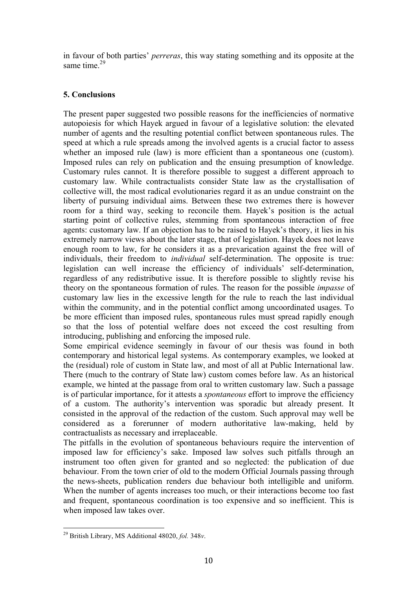in favour of both parties' *perreras*, this way stating something and its opposite at the same time. $29$ 

## **5. Conclusions**

The present paper suggested two possible reasons for the inefficiencies of normative autopoiesis for which Hayek argued in favour of a legislative solution: the elevated number of agents and the resulting potential conflict between spontaneous rules. The speed at which a rule spreads among the involved agents is a crucial factor to assess whether an imposed rule (law) is more efficient than a spontaneous one (custom). Imposed rules can rely on publication and the ensuing presumption of knowledge. Customary rules cannot. It is therefore possible to suggest a different approach to customary law. While contractualists consider State law as the crystallisation of collective will, the most radical evolutionaries regard it as an undue constraint on the liberty of pursuing individual aims. Between these two extremes there is however room for a third way, seeking to reconcile them. Hayek's position is the actual starting point of collective rules, stemming from spontaneous interaction of free agents: customary law. If an objection has to be raised to Hayek's theory, it lies in his extremely narrow views about the later stage, that of legislation. Hayek does not leave enough room to law, for he considers it as a prevarication against the free will of individuals, their freedom to *individual* self-determination. The opposite is true: legislation can well increase the efficiency of individuals' self-determination, regardless of any redistributive issue. It is therefore possible to slightly revise his theory on the spontaneous formation of rules. The reason for the possible *impasse* of customary law lies in the excessive length for the rule to reach the last individual within the community, and in the potential conflict among uncoordinated usages. To be more efficient than imposed rules, spontaneous rules must spread rapidly enough so that the loss of potential welfare does not exceed the cost resulting from introducing, publishing and enforcing the imposed rule.

Some empirical evidence seemingly in favour of our thesis was found in both contemporary and historical legal systems. As contemporary examples, we looked at the (residual) role of custom in State law, and most of all at Public International law. There (much to the contrary of State law) custom comes before law. As an historical example, we hinted at the passage from oral to written customary law. Such a passage is of particular importance, for it attests a *spontaneous* effort to improve the efficiency of a custom. The authority's intervention was sporadic but already present. It consisted in the approval of the redaction of the custom. Such approval may well be considered as a forerunner of modern authoritative law-making, held by contractualists as necessary and irreplaceable.

The pitfalls in the evolution of spontaneous behaviours require the intervention of imposed law for efficiency's sake. Imposed law solves such pitfalls through an instrument too often given for granted and so neglected: the publication of due behaviour. From the town crier of old to the modern Official Journals passing through the news-sheets, publication renders due behaviour both intelligible and uniform. When the number of agents increases too much, or their interactions become too fast and frequent, spontaneous coordination is too expensive and so inefficient. This is when imposed law takes over.

<sup>29</sup> British Library, MS Additional 48020, *fol.* 348*v*.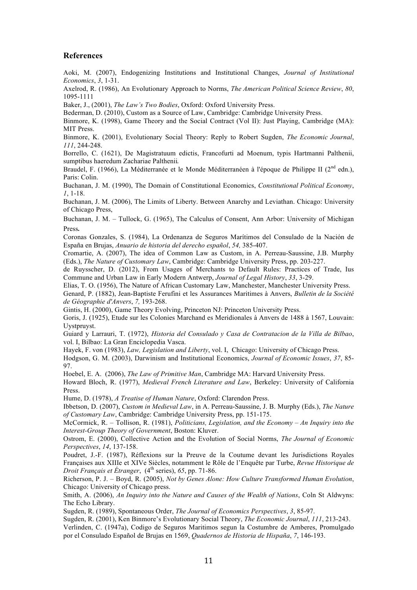#### **References**

Aoki, M. (2007), Endogenizing Institutions and Institutional Changes, *Journal of Institutional Economics*, *3*, 1-31.

Axelrod, R. (1986), An Evolutionary Approach to Norms, *The American Political Science Review*, *80*, 1095-1111

Baker, J., (2001), *The Law's Two Bodies*, Oxford: Oxford University Press.

Bederman, D. (2010), Custom as a Source of Law, Cambridge: Cambridge University Press.

Binmore, K. (1998), Game Theory and the Social Contract (Vol II): Just Playing, Cambridge (MA): MIT Press.

Binmore, K. (2001), Evolutionary Social Theory: Reply to Robert Sugden, *The Economic Journal*, *111*, 244-248.

Borrello, C. (1621), De Magistratuum edictis, Francofurti ad Moenum, typis Hartmanni Palthenii, sumptibus haeredum Zachariae Palthenii.

Braudel, F. (1966), La Méditerranée et le Monde Méditerranéen à l'époque de Philippe II ( $2<sup>nd</sup>$  edn.), Paris: Colin.

Buchanan, J. M. (1990), The Domain of Constitutional Economics, *Constitutional Political Economy*, *1*, 1-18.

Buchanan, J. M. (2006), The Limits of Liberty. Between Anarchy and Leviathan. Chicago: University of Chicago Press,

Buchanan, J. M. – Tullock, G. (1965), The Calculus of Consent, Ann Arbor: University of Michigan Press.

Coronas Gonzales, S. (1984), La Ordenanza de Seguros Marítimos del Consulado de la Nación de España en Brujas, *Anuario de historia del derecho español*, *54,* 385-407.

Cromartie, A. (2007), The idea of Common Law as Custom, in A. Perreau-Saussine, J.B. Murphy (Eds.), *The Nature of Customary Law*, Cambridge: Cambridge University Press, pp. 203-227.

de Ruysscher, D. (2012), From Usages of Merchants to Default Rules: Practices of Trade, Ius Commune and Urban Law in Early Modern Antwerp, *Journal of Legal History*, *33*, 3-29.

Elias, T. O. (1956), The Nature of African Customary Law, Manchester, Manchester University Press.

Genard, P. (1882), Jean-Baptiste Ferufini et les Assurances Maritimes à Anvers, *Bulletin de la Société de Géographie d'Anvers*, *7,* 193-268.

Gintis, H. (2000), Game Theory Evolving, Princeton NJ: Princeton University Press.

Goris, J. (1925), Etude sur les Colonies Marchand es Meridionales à Anvers de 1488 à 1567, Louvain: Uystpruyst.

Guiard y Larrauri, T. (1972), *Historia del Consulado y Casa de Contratacion de la Villa de Bilbao*, vol. I, Bilbao: La Gran Enciclopedia Vasca.

Hayek, F. von (1983), *Law, Legislation and Liberty*, vol. I, Chicago: University of Chicago Press.

Hodgson, G. M. (2003), Darwinism and Institutional Economics, *Journal of Economic Issues*, *37*, 85- 97.

Hoebel, E. A. (2006), *The Law of Primitive Man*, Cambridge MA: Harvard University Press.

Howard Bloch, R. (1977), *Medieval French Literature and Law*, Berkeley: University of California Press.

Hume, D. (1978), *A Treatise of Human Nature*, Oxford: Clarendon Press.

Ibbetson, D. (2007), *Custom in Medieval Law*, in A. Perreau-Saussine, J. B. Murphy (Eds.), *The Nature of Customary Law*, Cambridge: Cambridge University Press, pp. 151-175.

McCormick, R. – Tollison, R. (1981), *Politicians, Legislation, and the Economy – An Inquiry into the Interest-Group Theory of Government*, Boston: Kluver.

Ostrom, E. (2000), Collective Action and the Evolution of Social Norms, *The Journal of Economic Perspectives*, *14*, 137-158.

Poudret, J.-F. (1987), Réflexions sur la Preuve de la Coutume devant les Jurisdictions Royales Françaises aux XIIIe et XIVe Siècles, notamment le Rôle de l'Enquête par Turbe, *Revue Historique de Droit Français et Étranger*, (4<sup>th</sup> series), 65, pp. 71-86.

Richerson, P. J. – Boyd, R. (2005), *Not by Genes Alone: How Culture Transformed Human Evolution*, Chicago: University of Chicago press.

Smith, A. (2006), *An Inquiry into the Nature and Causes of the Wealth of Nations*, Coln St Aldwyns: The Echo Library.

Sugden, R. (1989), Spontaneous Order, *The Journal of Economics Perspectives*, *3*, 85-97.

Sugden, R. (2001), Ken Binmore's Evolutionary Social Theory, *The Economic Journal*, *111*, 213-243. Verlinden, C. (1947a), Codigo de Seguros Maritimos segun la Costumbre de Amberes, Promulgado

por el Consulado Español de Brujas en 1569, *Quadernos de Historia de Hispaña*, *7*, 146-193.